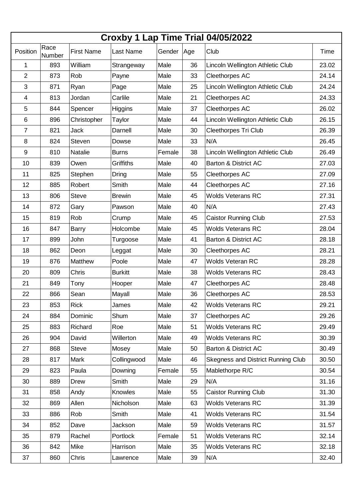| Croxby 1 Lap Time Trial 04/05/2022 |                |                   |                |        |     |                                    |       |  |
|------------------------------------|----------------|-------------------|----------------|--------|-----|------------------------------------|-------|--|
| Position                           | Race<br>Number | <b>First Name</b> | Last Name      | Gender | Age | Club                               | Time  |  |
| 1                                  | 893            | William           | Strangeway     | Male   | 36  | Lincoln Wellington Athletic Club   | 23.02 |  |
| $\overline{2}$                     | 873            | Rob               | Payne          | Male   | 33  | Cleethorpes AC                     | 24.14 |  |
| 3                                  | 871            | Ryan              | Page           | Male   | 25  | Lincoln Wellington Athletic Club   | 24.24 |  |
| 4                                  | 813            | Jordan            | Carlile        | Male   | 21  | Cleethorpes AC                     | 24.33 |  |
| 5                                  | 844            | Spencer           | Higgins        | Male   | 37  | Cleethorpes AC                     | 26.02 |  |
| 6                                  | 896            | Christopher       | Taylor         | Male   | 44  | Lincoln Wellington Athletic Club   | 26.15 |  |
| 7                                  | 821            | <b>Jack</b>       | Darnell        | Male   | 30  | <b>Cleethorpes Tri Club</b>        | 26.39 |  |
| 8                                  | 824            | <b>Steven</b>     | Dowse          | Male   | 33  | N/A                                | 26.45 |  |
| $\boldsymbol{9}$                   | 810            | Natalie           | <b>Burns</b>   | Female | 38  | Lincoln Wellington Athletic Club   | 26.49 |  |
| 10                                 | 839            | Owen              | Griffiths      | Male   | 40  | Barton & District AC               | 27.03 |  |
| 11                                 | 825            | Stephen           | <b>Dring</b>   | Male   | 55  | Cleethorpes AC                     | 27.09 |  |
| 12                                 | 885            | Robert            | Smith          | Male   | 44  | Cleethorpes AC                     | 27.16 |  |
| 13                                 | 806            | <b>Steve</b>      | <b>Brewin</b>  | Male   | 45  | <b>Wolds Veterans RC</b>           | 27.31 |  |
| 14                                 | 872            | Gary              | Pawson         | Male   | 40  | N/A                                | 27.43 |  |
| 15                                 | 819            | Rob               | Crump          | Male   | 45  | <b>Caistor Running Club</b>        | 27.53 |  |
| 16                                 | 847            | <b>Barry</b>      | Holcombe       | Male   | 45  | <b>Wolds Veterans RC</b>           | 28.04 |  |
| 17                                 | 899            | John              | Turgoose       | Male   | 41  | Barton & District AC               | 28.18 |  |
| 18                                 | 862            | Deon              | Leggat         | Male   | 30  | Cleethorpes AC                     | 28.21 |  |
| 19                                 | 876            | Matthew           | Poole          | Male   | 47  | <b>Wolds Veteran RC</b>            | 28.28 |  |
| 20                                 | 809            | Chris             | <b>Burkitt</b> | Male   | 38  | <b>Wolds Veterans RC</b>           | 28.43 |  |
| 21                                 | 849            | Tony              | Hooper         | Male   | 47  | Cleethorpes AC                     | 28.48 |  |
| 22                                 | 866            | Sean              | Mayall         | Male   | 36  | <b>Cleethorpes AC</b>              | 28.53 |  |
| 23                                 | 853            | <b>Rick</b>       | James          | Male   | 42  | <b>Wolds Veterans RC</b>           | 29.21 |  |
| 24                                 | 884            | Dominic           | Shum           | Male   | 37  | Cleethorpes AC                     | 29.26 |  |
| 25                                 | 883            | Richard           | Roe            | Male   | 51  | <b>Wolds Veterans RC</b>           | 29.49 |  |
| 26                                 | 904            | David             | Willerton      | Male   | 49  | <b>Wolds Veterans RC</b>           | 30.39 |  |
| 27                                 | 868            | <b>Steve</b>      | Mosey          | Male   | 50  | <b>Barton &amp; District AC</b>    | 30.49 |  |
| 28                                 | 817            | Mark              | Collingwood    | Male   | 46  | Skegness and District Running Club | 30.50 |  |
| 29                                 | 823            | Paula             | Downing        | Female | 55  | Mablethorpe R/C                    | 30.54 |  |
| 30                                 | 889            | <b>Drew</b>       | Smith          | Male   | 29  | N/A                                | 31.16 |  |
| 31                                 | 858            | Andy              | Knowles        | Male   | 55  | <b>Caistor Running Club</b>        | 31.30 |  |
| 32                                 | 869            | Allen             | Nicholson      | Male   | 63  | <b>Wolds Veterans RC</b>           | 31.39 |  |
| 33                                 | 886            | Rob               | Smith          | Male   | 41  | <b>Wolds Veterans RC</b>           | 31.54 |  |
| 34                                 | 852            | Dave              | Jackson        | Male   | 59  | <b>Wolds Veterans RC</b>           | 31.57 |  |
| 35                                 | 879            | Rachel            | Portlock       | Female | 51  | <b>Wolds Veterans RC</b>           | 32.14 |  |
| 36                                 | 842            | Mike              | Harrison       | Male   | 35  | <b>Wolds Veterans RC</b>           | 32.18 |  |
| 37                                 | 860            | Chris             | Lawrence       | Male   | 39  | N/A                                | 32.40 |  |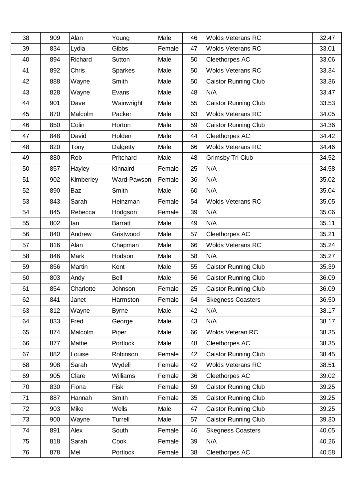| 38 | 909 | Alan        | Young          | Male   | 46 | <b>Wolds Veterans RC</b>    | 32.47 |
|----|-----|-------------|----------------|--------|----|-----------------------------|-------|
| 39 | 834 | Lydia       | Gibbs          | Female | 47 | <b>Wolds Veterans RC</b>    | 33.01 |
| 40 | 894 | Richard     | Sutton         | Male   | 50 | Cleethorpes AC              | 33.06 |
| 41 | 892 | Chris       | <b>Sparkes</b> | Male   | 50 | <b>Wolds Veterans RC</b>    | 33.34 |
| 42 | 888 | Wayne       | Smith          | Male   | 50 | <b>Caistor Running Club</b> | 33.36 |
| 43 | 828 | Wayne       | Evans          | Male   | 48 | N/A                         | 33.47 |
| 44 | 901 | Dave        | Wainwright     | Male   | 55 | <b>Caistor Running Club</b> | 33.53 |
| 45 | 870 | Malcolm     | Packer         | Male   | 63 | <b>Wolds Veterans RC</b>    | 34.05 |
| 46 | 850 | Colin       | Horton         | Male   | 59 | <b>Caistor Running Club</b> | 34.36 |
| 47 | 848 | David       | Holden         | Male   | 44 | Cleethorpes AC              | 34.42 |
| 48 | 820 | Tony        | Dalgetty       | Male   | 66 | <b>Wolds Veterans RC</b>    | 34.46 |
| 49 | 880 | Rob         | Pritchard      | Male   | 48 | Grimsby Tri Club            | 34.52 |
| 50 | 857 | Hayley      | Kinnaird       | Female | 25 | N/A                         | 34.58 |
| 51 | 902 | Kimberley   | Ward-Pawson    | Female | 36 | N/A                         | 35.02 |
| 52 | 890 | Baz         | Smith          | Male   | 60 | N/A                         | 35.04 |
| 53 | 843 | Sarah       | Heinzman       | Female | 54 | <b>Wolds Veterans RC</b>    | 35.05 |
| 54 | 845 | Rebecca     | Hodgson        | Female | 39 | N/A                         | 35.06 |
| 55 | 802 | lan         | <b>Barratt</b> | Male   | 49 | N/A                         | 35.11 |
| 56 | 840 | Andrew      | Gristwood      | Male   | 57 | Cleethorpes AC              | 35.21 |
| 57 | 816 | Alan        | Chapman        | Male   | 66 | <b>Wolds Veterans RC</b>    | 35.24 |
| 58 | 846 | <b>Mark</b> | Hodson         | Male   | 58 | N/A                         | 35.27 |
| 59 | 856 | Martin      | Kent           | Male   | 55 | <b>Caistor Running Club</b> | 35.39 |
| 60 | 803 | Andy        | <b>Bell</b>    | Male   | 56 | <b>Caistor Running Club</b> | 36.09 |
| 61 | 854 | Charlotte   | Johnson        | Female | 25 | <b>Caistor Running Club</b> | 36.09 |
| 62 | 841 | Janet       | Harmston       | Female | 64 | <b>Skegness Coasters</b>    | 36.50 |
| 63 | 812 | Wayne       | <b>Byrne</b>   | Male   | 42 | N/A                         | 38.17 |
| 64 | 833 | Fred        | George         | Male   | 43 | N/A                         | 38.17 |
| 65 | 874 | Malcolm     | Piper          | Male   | 66 | Wolds Veteran RC            | 38.35 |
| 66 | 877 | Mattie      | Portlock       | Male   | 48 | Cleethorpes AC              | 38.35 |
| 67 | 882 | Louise      | Robinson       | Female | 42 | <b>Caistor Running Club</b> | 38.45 |
| 68 | 908 | Sarah       | Wydell         | Female | 42 | <b>Wolds Veterans RC</b>    | 38.51 |
| 69 | 905 | Clare       | Williams       | Female | 36 | Cleethorpes AC              | 39.02 |
| 70 | 830 | Fiona       | Fisk           | Female | 59 | <b>Caistor Running Club</b> | 39.25 |
| 71 | 887 | Hannah      | Smith          | Female | 35 | <b>Caistor Running Club</b> | 39.25 |
| 72 | 903 | Mike        | Wells          | Male   | 47 | <b>Caistor Running Club</b> | 39.25 |
| 73 | 900 | Wayne       | <b>Turrell</b> | Male   | 57 | <b>Caistor Running Club</b> | 39.30 |
| 74 | 891 | Alex        | South          | Female | 46 | <b>Skegness Coasters</b>    | 40.05 |
| 75 | 818 | Sarah       | Cook           | Female | 39 | N/A                         | 40.26 |
| 76 | 878 | Mel         | Portlock       | Female | 38 | Cleethorpes AC              | 40.58 |